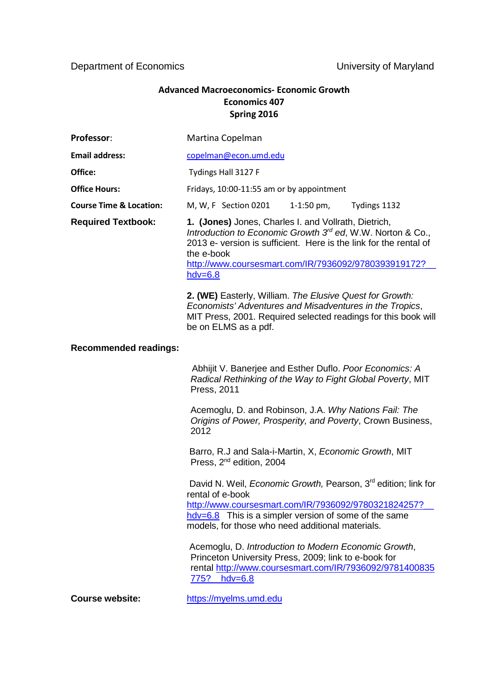Department of Economics University of Maryland

## **Advanced Macroeconomics- Economic Growth Economics 407 Spring 2016**

| Professor:                         | Martina Copelman                                                                                                                                                                                                                                                                  |
|------------------------------------|-----------------------------------------------------------------------------------------------------------------------------------------------------------------------------------------------------------------------------------------------------------------------------------|
| <b>Email address:</b>              | copelman@econ.umd.edu                                                                                                                                                                                                                                                             |
| Office:                            | Tydings Hall 3127 F                                                                                                                                                                                                                                                               |
| <b>Office Hours:</b>               | Fridays, 10:00-11:55 am or by appointment                                                                                                                                                                                                                                         |
| <b>Course Time &amp; Location:</b> | M, W, F Section 0201<br>Tydings 1132<br>$1-1:50$ pm,                                                                                                                                                                                                                              |
| <b>Required Textbook:</b>          | 1. (Jones) Jones, Charles I. and Vollrath, Dietrich,<br>Introduction to Economic Growth $3^{rd}$ ed, W.W. Norton & Co.,<br>2013 e- version is sufficient. Here is the link for the rental of<br>the e-book<br>http://www.coursesmart.com/IR/7936092/9780393919172?<br>$hdv = 6.8$ |
|                                    | 2. (WE) Easterly, William. The Elusive Quest for Growth:<br>Economists' Adventures and Misadventures in the Tropics,<br>MIT Press, 2001. Required selected readings for this book will<br>be on ELMS as a pdf.                                                                    |
| <b>Recommended readings:</b>       |                                                                                                                                                                                                                                                                                   |
|                                    | Abhijit V. Banerjee and Esther Duflo. Poor Economics: A<br>Radical Rethinking of the Way to Fight Global Poverty, MIT<br>Press, 2011                                                                                                                                              |
|                                    | Acemoglu, D. and Robinson, J.A. Why Nations Fail: The<br>Origins of Power, Prosperity, and Poverty, Crown Business,<br>2012                                                                                                                                                       |
|                                    | Barro, R.J and Sala-i-Martin, X, Economic Growth, MIT<br>Press, 2 <sup>nd</sup> edition, 2004                                                                                                                                                                                     |
|                                    | David N. Weil, <i>Economic Growth</i> , Pearson, 3 <sup>rd</sup> edition; link for<br>rental of e-book                                                                                                                                                                            |
|                                    | http://www.coursesmart.com/IR/7936092/9780321824257?<br>$hdv=6.8$ This is a simpler version of some of the same<br>models, for those who need additional materials.                                                                                                               |
|                                    | Acemoglu, D. Introduction to Modern Economic Growth,<br>Princeton University Press, 2009; link to e-book for<br>rental http://www.coursesmart.com/IR/7936092/9781400835<br>775?<br>$hdv=6.8$                                                                                      |

**Course website:** [https://myelms.umd.edu](https://myelms.umd.edu/)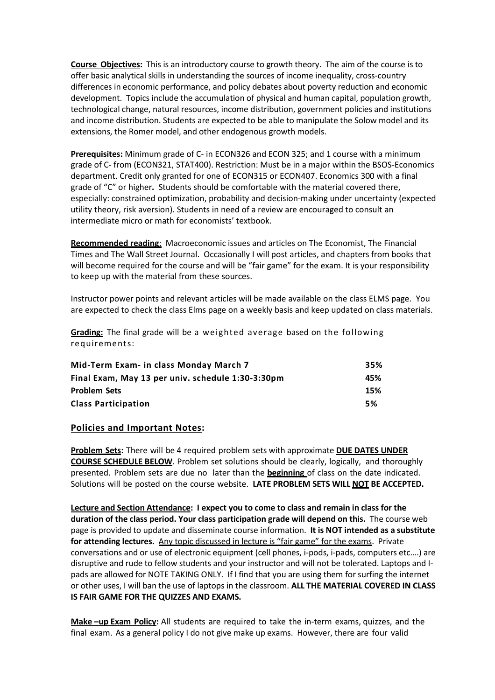**Course Objectives:** This is an introductory course to growth theory. The aim of the course is to offer basic analytical skills in understanding the sources of income inequality, cross-country differences in economic performance, and policy debates about poverty reduction and economic development. Topics include the accumulation of physical and human capital, population growth, technological change, natural resources, income distribution, government policies and institutions and income distribution. Students are expected to be able to manipulate the Solow model and its extensions, the Romer model, and other endogenous growth models.

**Prerequisites:** Minimum grade of C- in ECON326 and ECON 325; and 1 course with a minimum grade of C- from (ECON321, STAT400). Restriction: Must be in a major within the BSOS-Economics department. Credit only granted for one of ECON315 or ECON407. Economics 300 with a final grade of "C" or higher**.** Students should be comfortable with the material covered there, especially: constrained optimization, probability and decision-making under uncertainty (expected utility theory, risk aversion). Students in need of a review are encouraged to consult an intermediate micro or math for economists' textbook.

**Recommended reading**: Macroeconomic issues and articles on The Economist, The Financial Times and The Wall Street Journal. Occasionally I will post articles, and chapters from books that will become required for the course and will be "fair game" for the exam. It is your responsibility to keep up with the material from these sources.

Instructor power points and relevant articles will be made available on the class ELMS page. You are expected to check the class Elms page on a weekly basis and keep updated on class materials.

**Grading:** The final grade will be a weighted average based on the following requirements:

| Mid-Term Exam- in class Monday March 7            | 35% |
|---------------------------------------------------|-----|
| Final Exam, May 13 per univ. schedule 1:30-3:30pm | 45% |
| <b>Problem Sets</b>                               | 15% |
| <b>Class Participation</b>                        | 5%  |

## **Policies and Important Notes:**

**Problem Sets:** There will be 4 required problem sets with approximate **DUE DATES UNDER COURSE SCHEDULE BELOW**. Problem set solutions should be clearly, logically, and thoroughly presented. Problem sets are due no later than the **beginning** of class on the date indicated. Solutions will be posted on the course website. **LATE PROBLEM SETS WILL NOT BE ACCEPTED.**

**Lecture and Section Attendance: I expect you to come to class and remain in class for the duration of the class period. Your class participation grade will depend on this.** The course web page is provided to update and disseminate course information. **It is NOT intended as a substitute for attending lectures.** Any topic discussed in lecture is "fair game" for the exams. Private conversations and or use of electronic equipment (cell phones, i-pods, i-pads, computers etc….) are disruptive and rude to fellow students and your instructor and will not be tolerated. Laptops and Ipads are allowed for NOTE TAKING ONLY. If I find that you are using them for surfing the internet or other uses, I will ban the use of laptops in the classroom. **ALL THE MATERIAL COVERED IN CLASS IS FAIR GAME FOR THE QUIZZES AND EXAMS.**

**Make –up Exam Policy:** All students are required to take the in-term exams, quizzes, and the final exam. As a general policy I do not give make up exams. However, there are four valid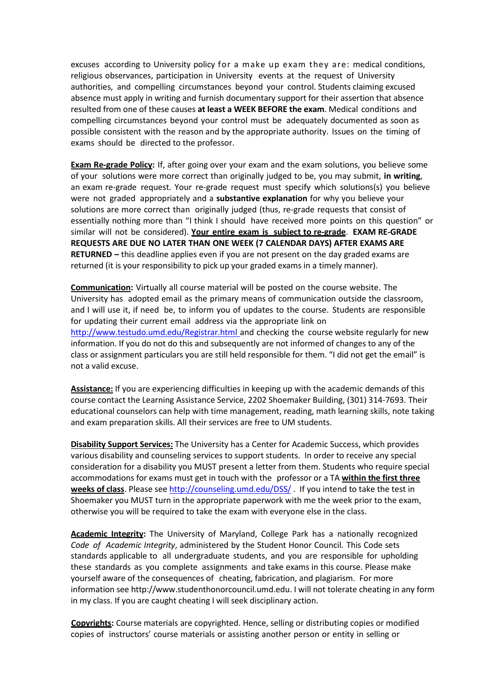excuses according to University policy for a make up exam they are: medical conditions, religious observances, participation in University events at the request of University authorities, and compelling circumstances beyond your control. Students claiming excused absence must apply in writing and furnish documentary support for their assertion that absence resulted from one of these causes **at least a WEEK BEFORE the exam**. Medical conditions and compelling circumstances beyond your control must be adequately documented as soon as possible consistent with the reason and by the appropriate authority. Issues on the timing of exams should be directed to the professor.

**Exam Re-grade Policy:** If, after going over your exam and the exam solutions, you believe some of your solutions were more correct than originally judged to be, you may submit, **in writing**, an exam re-grade request. Your re-grade request must specify which solutions(s) you believe were not graded appropriately and a **substantive explanation** for why you believe your solutions are more correct than originally judged (thus, re-grade requests that consist of essentially nothing more than "I think I should have received more points on this question" or similar will not be considered). **Your entire exam is subject to re-grade**. **EXAM RE-GRADE REQUESTS ARE DUE NO LATER THAN ONE WEEK (7 CALENDAR DAYS) AFTER EXAMS ARE RETURNED –** this deadline applies even if you are not present on the day graded exams are returned (it is your responsibility to pick up your graded exams in a timely manner).

**Communication:** Virtually all course material will be posted on the course website. The University has adopted email as the primary means of communication outside the classroom, and I will use it, if need be, to inform you of updates to the course. Students are responsible for updating their current email address via the appropriate link on <http://www.testudo.umd.edu/Registrar.html> and checking the course website regularly for new information. If you do not do this and subsequently are not informed of changes to any of the class or assignment particulars you are still held responsible for them. "I did not get the email" is not a valid excuse.

**Assistance:** If you are experiencing difficulties in keeping up with the academic demands of this course contact the Learning Assistance Service, 2202 Shoemaker Building, (301) 314-7693. Their educational counselors can help with time management, reading, math learning skills, note taking and exam preparation skills. All their services are free to UM students.

**Disability Support Services:** The University has a Center for Academic Success, which provides various disability and counseling services to support students. In order to receive any special consideration for a disability you MUST present a letter from them. Students who require special accommodations for exams must get in touch with the professor or a TA **within the first three weeks of class**. Please se[e http://counseling.umd.edu/DSS/](http://counseling.umd.edu/DSS/) . If you intend to take the test in Shoemaker you MUST turn in the appropriate paperwork with me the week prior to the exam, otherwise you will be required to take the exam with everyone else in the class.

**Academic Integrity:** The University of Maryland, College Park has a nationally recognized *Code of Academic Integrity*, administered by the Student Honor Council. This Code sets standards applicable to all undergraduate students, and you are responsible for upholding these standards as you complete assignments and take exams in this course. Please make yourself aware of the consequences of cheating, fabrication, and plagiarism. For more information see http:/[/www.studenthonorcouncil.umd.edu.](http://www.studenthonorcouncil.umd.edu/) I will not tolerate cheating in any form in my class. If you are caught cheating I will seek disciplinary action.

**Copyrights:** Course materials are copyrighted. Hence, selling or distributing copies or modified copies of instructors' course materials or assisting another person or entity in selling or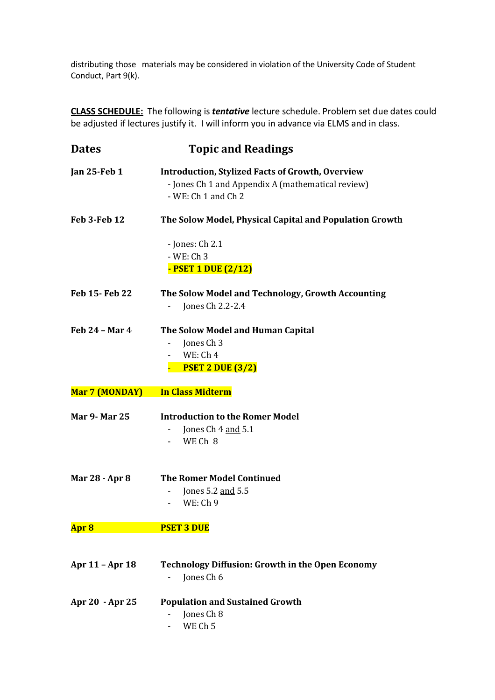distributing those materials may be considered in violation of the University Code of Student Conduct, Part 9(k).

**CLASS SCHEDULE:** The following is *tentative* lecture schedule. Problem set due dates could be adjusted if lectures justify it. I will inform you in advance via ELMS and in class.

| <b>Dates</b>         | <b>Topic and Readings</b>                                                                                                           |
|----------------------|-------------------------------------------------------------------------------------------------------------------------------------|
| <b>Jan 25-Feb 1</b>  | <b>Introduction, Stylized Facts of Growth, Overview</b><br>- Jones Ch 1 and Appendix A (mathematical review)<br>- WE: Ch 1 and Ch 2 |
| Feb 3-Feb 12         | The Solow Model, Physical Capital and Population Growth                                                                             |
|                      | - Jones: Ch 2.1<br>- WE: Ch 3<br>- PSET 1 DUE (2/12)                                                                                |
| Feb 15- Feb 22       | The Solow Model and Technology, Growth Accounting<br>Jones Ch 2.2-2.4                                                               |
| Feb 24 - Mar 4       | The Solow Model and Human Capital<br>Jones Ch <sub>3</sub><br>WE: Ch 4<br><b>PSET 2 DUE (3/2)</b>                                   |
| Mar 7 (MONDAY)       | <b>In Class Midterm</b>                                                                                                             |
| <b>Mar 9- Mar 25</b> | <b>Introduction to the Romer Model</b><br>Jones Ch 4 and 5.1<br>WE Ch 8                                                             |
| Mar 28 - Apr 8       | <b>The Romer Model Continued</b><br>Jones 5.2 and 5.5<br>WE: Ch 9                                                                   |
| Apr <sub>8</sub>     | <b>PSET 3 DUE</b>                                                                                                                   |
| Apr 11 - Apr 18      | <b>Technology Diffusion: Growth in the Open Economy</b><br>Jones Ch 6                                                               |
| Apr 20 - Apr 25      | <b>Population and Sustained Growth</b><br>Jones Ch 8<br>WE Ch <sub>5</sub>                                                          |